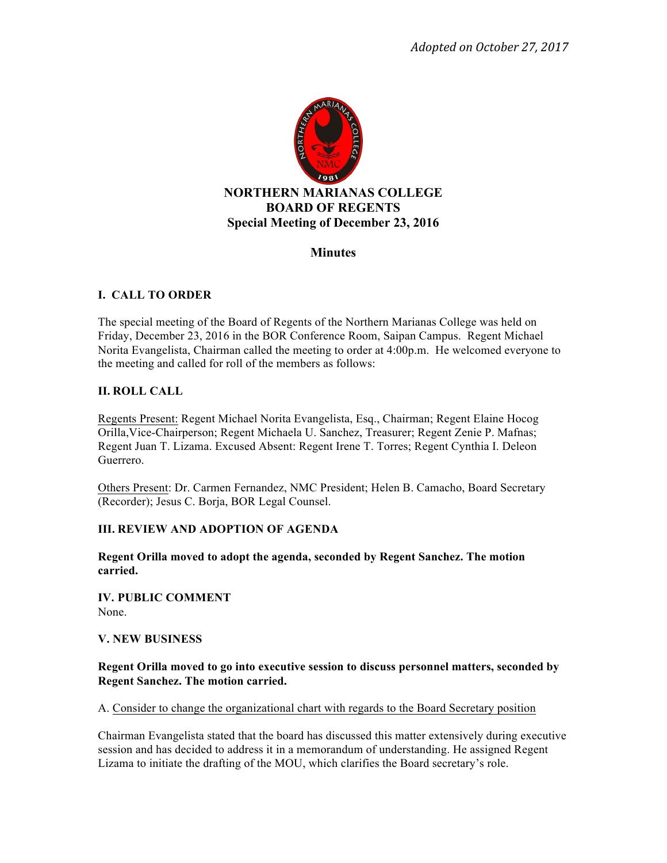

# **Minutes**

## **I. CALL TO ORDER**

The special meeting of the Board of Regents of the Northern Marianas College was held on Friday, December 23, 2016 in the BOR Conference Room, Saipan Campus. Regent Michael Norita Evangelista, Chairman called the meeting to order at 4:00p.m. He welcomed everyone to the meeting and called for roll of the members as follows:

## **II. ROLL CALL**

Regents Present: Regent Michael Norita Evangelista, Esq., Chairman; Regent Elaine Hocog Orilla,Vice-Chairperson; Regent Michaela U. Sanchez, Treasurer; Regent Zenie P. Mafnas; Regent Juan T. Lizama. Excused Absent: Regent Irene T. Torres; Regent Cynthia I. Deleon Guerrero.

Others Present: Dr. Carmen Fernandez, NMC President; Helen B. Camacho, Board Secretary (Recorder); Jesus C. Borja, BOR Legal Counsel.

#### **III. REVIEW AND ADOPTION OF AGENDA**

**Regent Orilla moved to adopt the agenda, seconded by Regent Sanchez. The motion carried.** 

**IV. PUBLIC COMMENT** None.

#### **V. NEW BUSINESS**

## **Regent Orilla moved to go into executive session to discuss personnel matters, seconded by Regent Sanchez. The motion carried.**

A. Consider to change the organizational chart with regards to the Board Secretary position

Chairman Evangelista stated that the board has discussed this matter extensively during executive session and has decided to address it in a memorandum of understanding. He assigned Regent Lizama to initiate the drafting of the MOU, which clarifies the Board secretary's role.